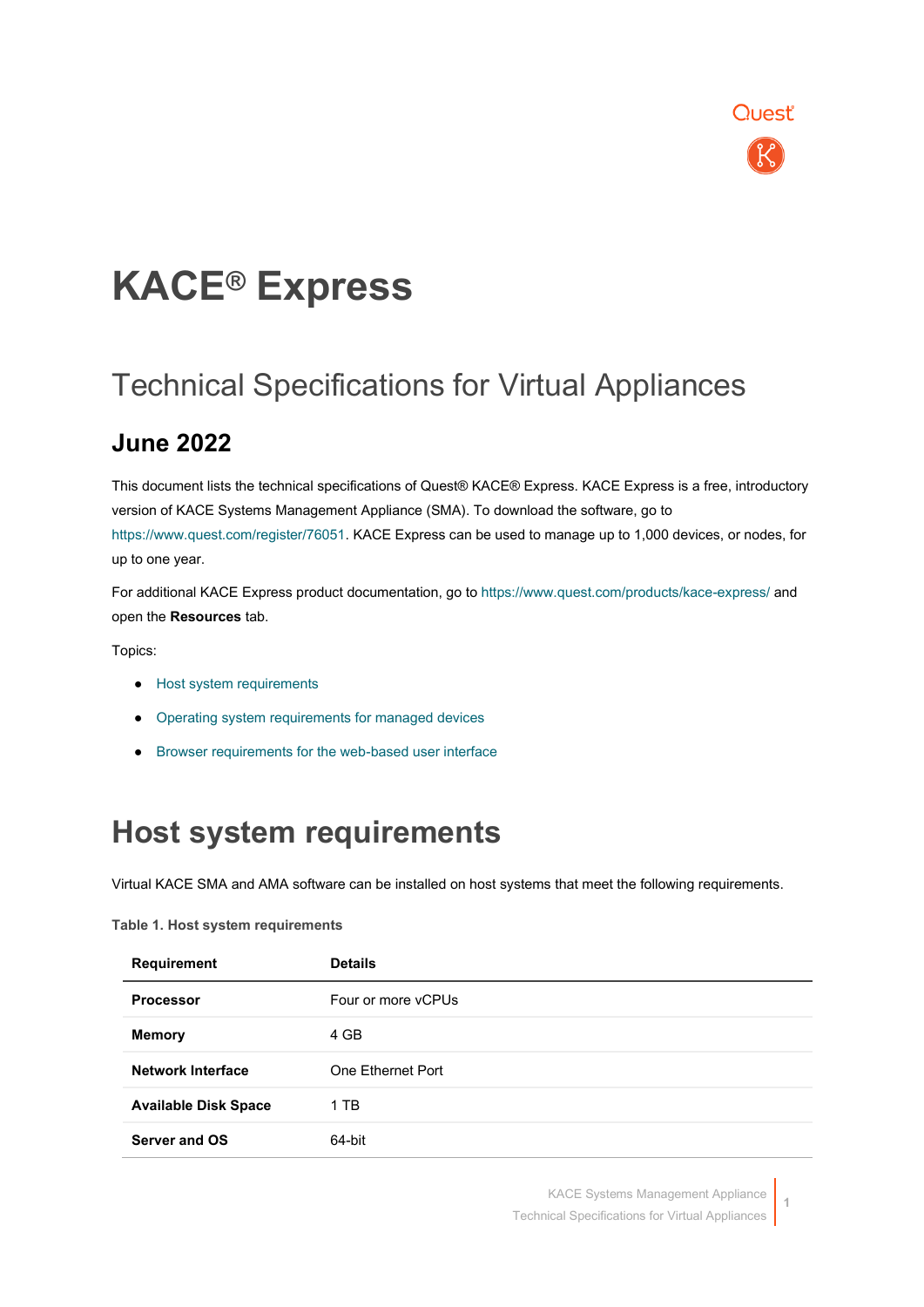

# **KACE® Express**

### Technical Specifications for Virtual Appliances

### **June 2022**

This document lists the technical specifications of Quest® KACE® Express. KACE Express is a free, introductory version of KACE Systems Management Appliance (SMA). To download the software, go to [https://www.quest.com/register/76051.](https://www.quest.com/register/76051) KACE Express can be used to manage up to 1,000 devices, or nodes, for up to one year.

For additional KACE Express product documentation, go to<https://www.quest.com/products/kace-express/> and open the **Resources** tab.

Topics:

- [Host system requirements](#page-0-0)
- [Operating system requirements for managed devices](#page-1-0)
- <span id="page-0-0"></span>● Browser requirements for the web-based user interface

### **Host system requirements**

Virtual KACE SMA and AMA software can be installed on host systems that meet the following requirements.

| <b>Requirement</b>          | <b>Details</b>     |
|-----------------------------|--------------------|
| <b>Processor</b>            | Four or more vCPUs |
| <b>Memory</b>               | 4 GB               |
| Network Interface           | One Ethernet Port  |
| <b>Available Disk Space</b> | 1 TB               |
| Server and OS               | 64-bit             |

**Table 1. Host system requirements**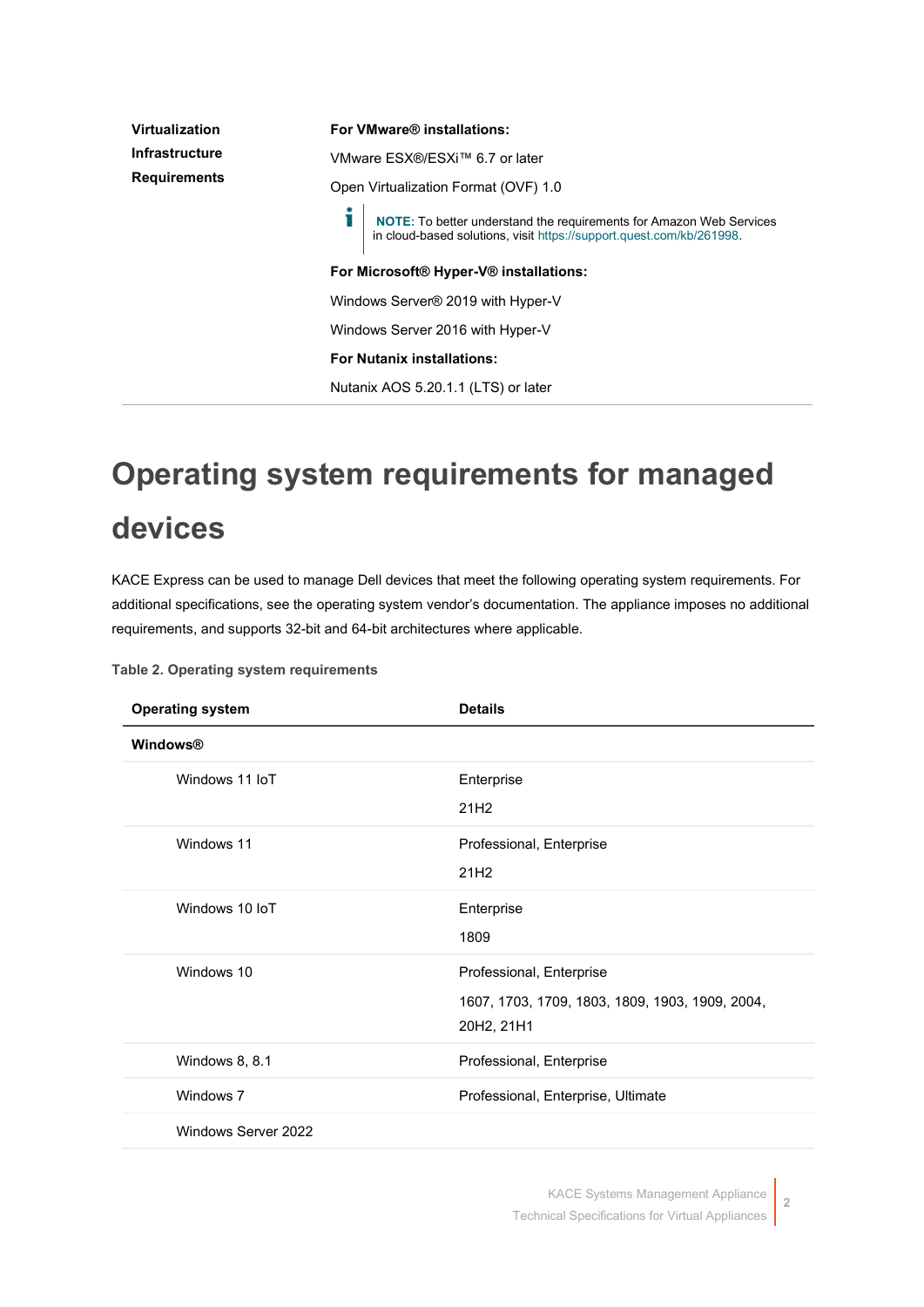| Virtualization      | For VMware® installations:<br>VMware ESX®/ESXi™ 6.7 or later                                                                                |  |
|---------------------|---------------------------------------------------------------------------------------------------------------------------------------------|--|
| Infrastructure      |                                                                                                                                             |  |
| <b>Requirements</b> | Open Virtualization Format (OVF) 1.0                                                                                                        |  |
|                     | NOTE: To better understand the requirements for Amazon Web Services<br>in cloud-based solutions, visit https://support.quest.com/kb/261998. |  |
|                     | For Microsoft® Hyper-V® installations:                                                                                                      |  |
|                     | Windows Server® 2019 with Hyper-V                                                                                                           |  |
|                     | Windows Server 2016 with Hyper-V                                                                                                            |  |
|                     | <b>For Nutanix installations:</b>                                                                                                           |  |
|                     | Nutanix AOS 5.20.1.1 (LTS) or later                                                                                                         |  |

# <span id="page-1-0"></span>**Operating system requirements for managed devices**

KACE Express can be used to manage Dell devices that meet the following operating system requirements. For additional specifications, see the operating system vendor's documentation. The appliance imposes no additional requirements, and supports 32-bit and 64-bit architectures where applicable.

| <b>Operating system</b> | <b>Details</b>                                                                            |
|-------------------------|-------------------------------------------------------------------------------------------|
| <b>Windows®</b>         |                                                                                           |
| Windows 11 IoT          | Enterprise<br>21H <sub>2</sub>                                                            |
| Windows 11              | Professional, Enterprise<br>21H <sub>2</sub>                                              |
| Windows 10 IoT          | Enterprise<br>1809                                                                        |
| Windows 10              | Professional, Enterprise<br>1607, 1703, 1709, 1803, 1809, 1903, 1909, 2004,<br>20H2, 21H1 |
| Windows 8, 8.1          | Professional, Enterprise                                                                  |
| Windows 7               | Professional, Enterprise, Ultimate                                                        |
| Windows Server 2022     |                                                                                           |

**Table 2. Operating system requirements**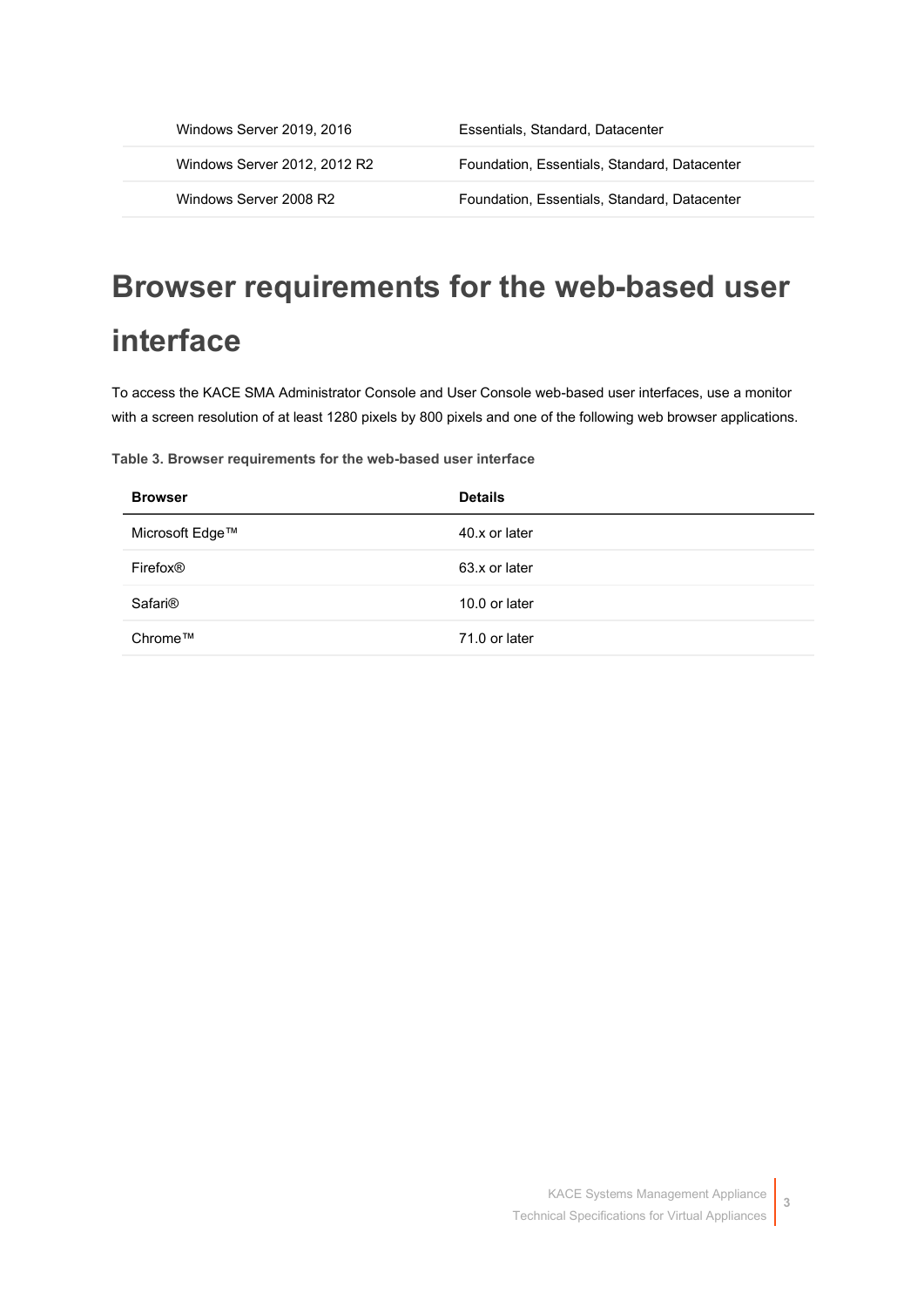| Windows Server 2019, 2016    | Essentials, Standard, Datacenter             |
|------------------------------|----------------------------------------------|
| Windows Server 2012, 2012 R2 | Foundation, Essentials, Standard, Datacenter |
| Windows Server 2008 R2       | Foundation, Essentials, Standard, Datacenter |

## **Browser requirements for the web-based user interface**

To access the KACE SMA Administrator Console and User Console web-based user interfaces, use a monitor with a screen resolution of at least 1280 pixels by 800 pixels and one of the following web browser applications.

**Table 3. Browser requirements for the web-based user interface**

| <b>Browser</b>       | <b>Details</b> |
|----------------------|----------------|
| Microsoft Edge™      | 40.x or later  |
| Firefox <sup>®</sup> | 63.x or later  |
| Safari <sup>®</sup>  | 10.0 or later  |
| Chrome™              | 71.0 or later  |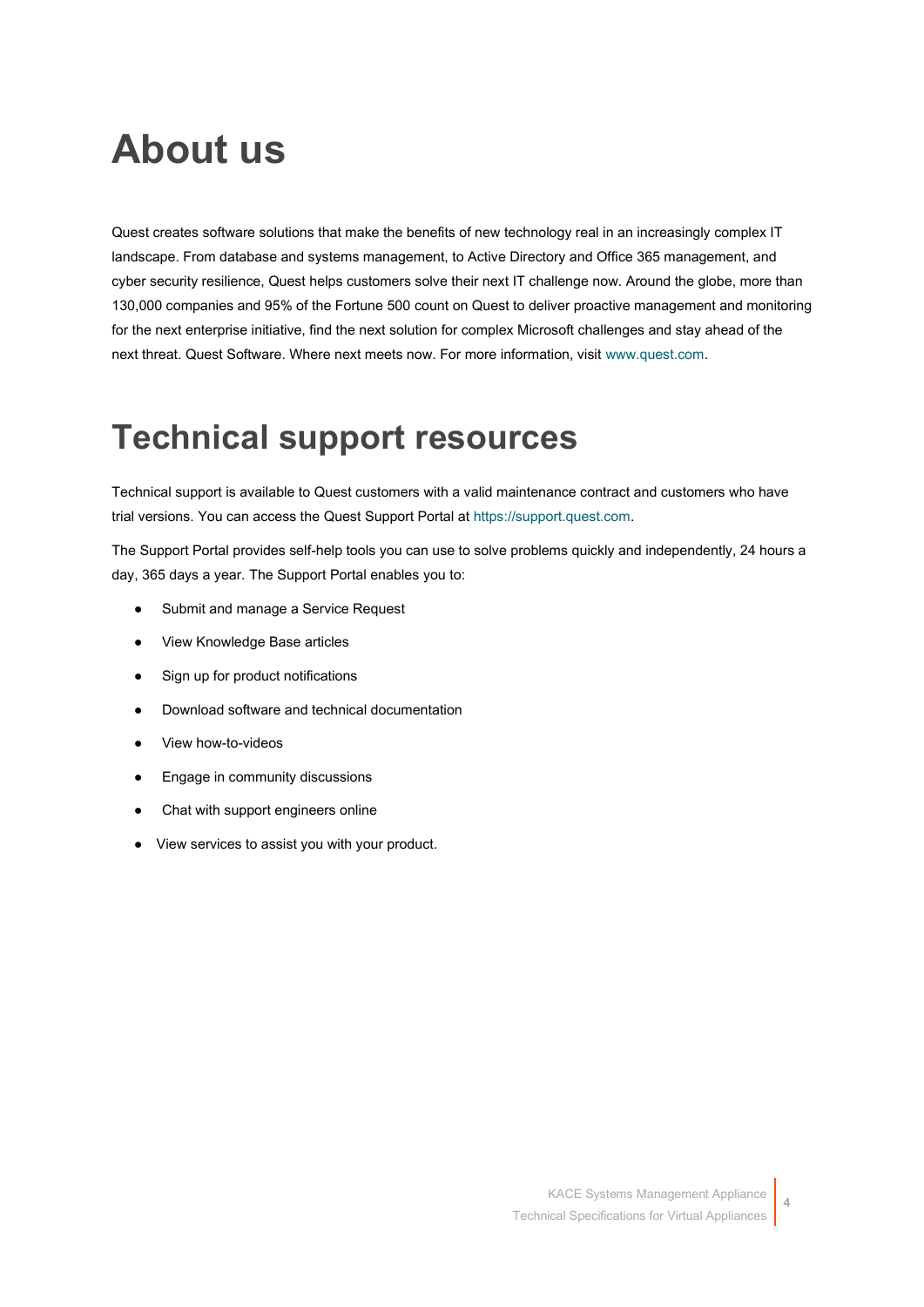## **About us**

Quest creates software solutions that make the benefits of new technology real in an increasingly complex IT landscape. From database and systems management, to Active Directory and Office 365 management, and cyber security resilience, Quest helps customers solve their next IT challenge now. Around the globe, more than 130,000 companies and 95% of the Fortune 500 count on Quest to deliver proactive management and monitoring for the next enterprise initiative, find the next solution for complex Microsoft challenges and stay ahead of the next threat. Quest Software. Where next meets now. For more information, visit [www.quest.com.](https://www.quest.com/company/contact-us.aspx)

## **Technical support resources**

Technical support is available to Quest customers with a valid maintenance contract and customers who have trial versions. You can access the Quest Support Portal at [https://support.quest.com.](https://support.quest.com/)

The Support Portal provides self-help tools you can use to solve problems quickly and independently, 24 hours a day, 365 days a year. The Support Portal enables you to:

- Submit and manage a Service Request
- View Knowledge Base articles
- Sign up for product notifications
- Download software and technical documentation
- View how-to-videos
- Engage in community discussions
- Chat with support engineers online
- View services to assist you with your product.